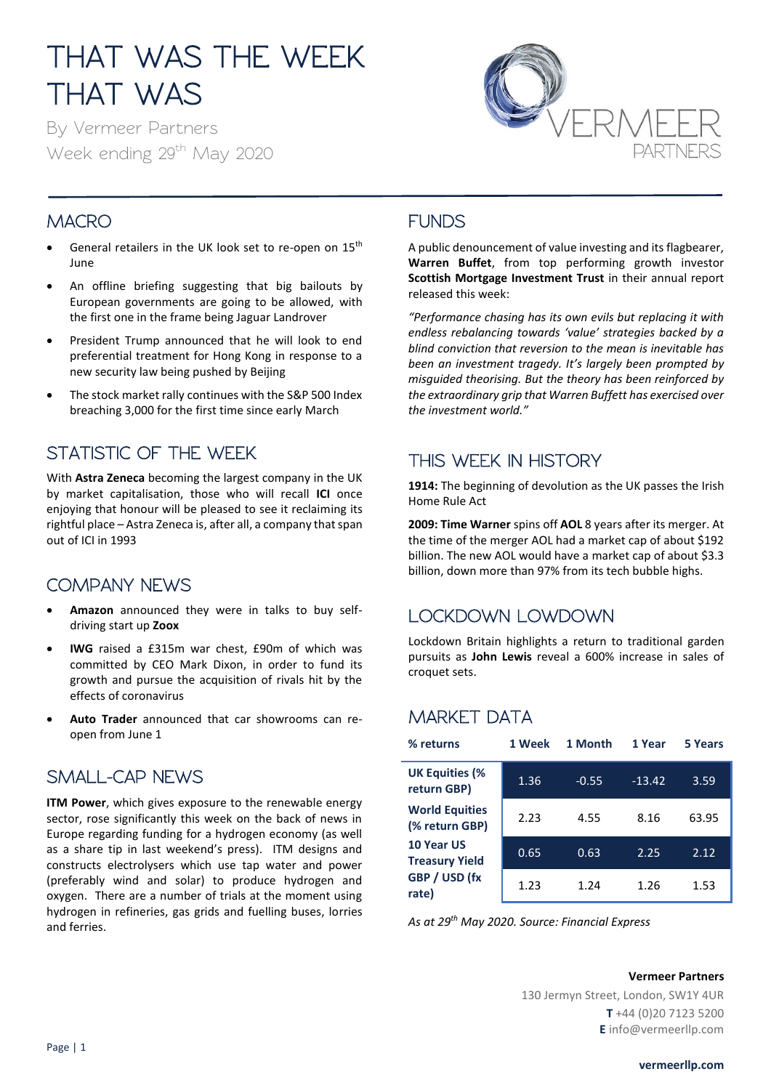# THAT WAS THE WEEK THAT WAS

By Vermeer Partners Week ending 29<sup>th</sup> May 2020



#### **MACRO**

- General retailers in the UK look set to re-open on 15<sup>th</sup> June
- An offline briefing suggesting that big bailouts by European governments are going to be allowed, with the first one in the frame being Jaguar Landrover
- President Trump announced that he will look to end preferential treatment for Hong Kong in response to a new security law being pushed by Beijing
- The stock market rally continues with the S&P 500 Index breaching 3,000 for the first time since early March

### STATISTIC OF THE WEEK

With **Astra Zeneca** becoming the largest company in the UK by market capitalisation, those who will recall **ICI** once enjoying that honour will be pleased to see it reclaiming its rightful place – Astra Zeneca is, after all, a company that span out of ICI in 1993

### COMPANY NEWS

- **Amazon** announced they were in talks to buy selfdriving start up **Zoox**
- **IWG** raised a £315m war chest, £90m of which was committed by CEO Mark Dixon, in order to fund its growth and pursue the acquisition of rivals hit by the effects of coronavirus
- **Auto Trader** announced that car showrooms can reopen from June 1

#### SMALL-CAP NEWS

**ITM Power**, which gives exposure to the renewable energy sector, rose significantly this week on the back of news in Europe regarding funding for a hydrogen economy (as well as a share tip in last weekend's press). ITM designs and constructs electrolysers which use tap water and power (preferably wind and solar) to produce hydrogen and oxygen. There are a number of trials at the moment using hydrogen in refineries, gas grids and fuelling buses, lorries and ferries.

#### FUNDS

A public denouncement of value investing and its flagbearer, **Warren Buffet**, from top performing growth investor **Scottish Mortgage Investment Trust** in their annual report released this week:

*"Performance chasing has its own evils but replacing it with endless rebalancing towards 'value' strategies backed by a blind conviction that reversion to the mean is inevitable has been an investment tragedy. It's largely been prompted by misguided theorising. But the theory has been reinforced by the extraordinary grip that Warren Buffett has exercised over the investment world."*

#### THIS WEEK IN HISTORY

**1914:** The beginning of devolution as the UK passes the Irish Home Rule Act

**2009: Time Warner** spins off **AOL** 8 years after its merger. At the time of the merger AOL had a market cap of about \$192 billion. The new AOL would have a [market cap](https://www.begintoinvest.com/definitions/market-cap/) of about \$3.3 billion, down more than 97% from its tech bubble highs.

### LOCKDOWN LOWDOWN

Lockdown Britain highlights a return to traditional garden pursuits as **John Lewis** reveal a 600% increase in sales of croquet sets.

#### MARKET DATA

| % returns                               | 1 Week | 1 Month | 1 Year   | 5 Years |
|-----------------------------------------|--------|---------|----------|---------|
| <b>UK Equities (%</b><br>return GBP)    | 1.36   | $-0.55$ | $-13.42$ | 3.59    |
| <b>World Equities</b><br>(% return GBP) | 2.23   | 4.55    | 8.16     | 63.95   |
| 10 Year US<br><b>Treasury Yield</b>     | 0.65   | 0.63    | 2.25     | 2.12    |
| GBP / USD (fx<br>rate)                  | 1.23   | 1.24    | 1.26     | 1.53    |

*As at 29 th May 2020. Source: Financial Express*

#### **Vermeer Partners**

130 Jermyn Street, London, SW1Y 4UR **T** +44 (0)20 7123 5200 **E** info@vermeerllp.com